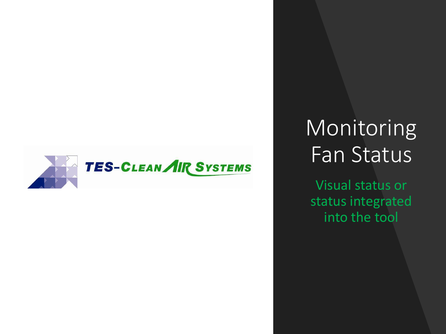

# Monitoring Fan Status

Visual status or status integrated into the tool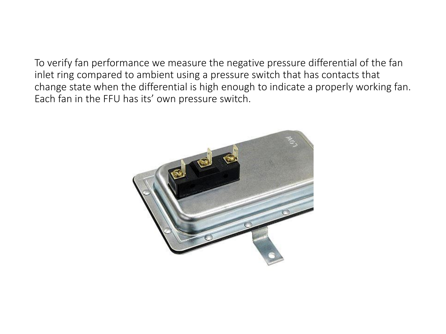To verify fan performance we measure the negative pressure differential of the fan inlet ring compared to ambient using a pressure switch that has contacts that change state when the differential is high enough to indicate a properly working fan. Each fan in the FFU has its' own pressure switch.

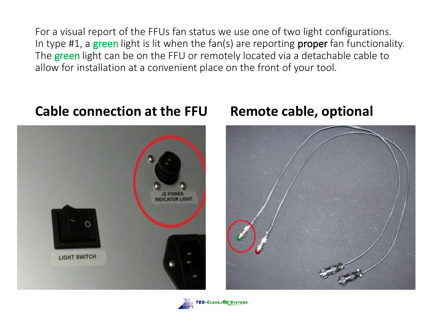For a visual report of the FFUs fan status we use one of two light configurations. In type #1, a green light is lit when the fan(s) are reporting proper fan functionality. The green light can be on the FFU or remotely located via a detachable cable to allow for installation at a convenient place on the front of your tool.

## **Cable connection at the FFU Remote cable, optional**





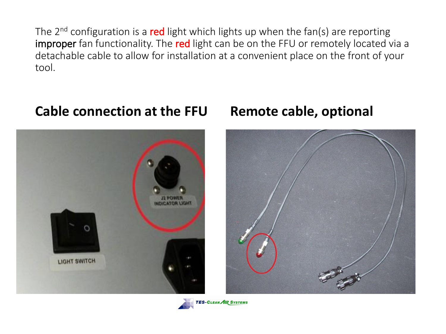The  $2^{nd}$  configuration is a red light which lights up when the fan(s) are reporting improper fan functionality. The red light can be on the FFU or remotely located via a detachable cable to allow for installation at a convenient place on the front of your tool.

### **Cable connection at the FFU Remote cable, optional**